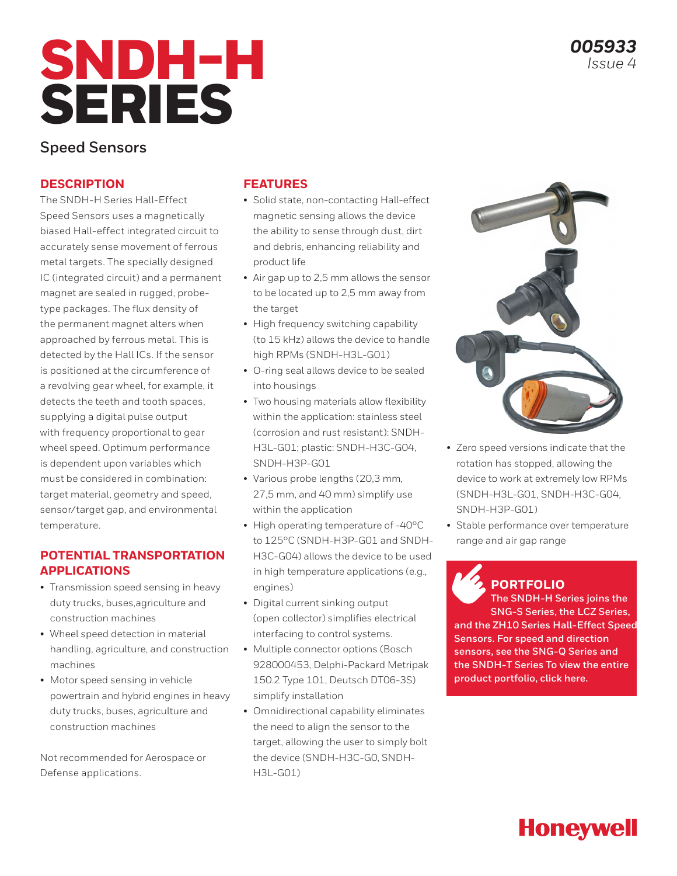# SNDH-H SERIES

# **Speed Sensors**

# **DESCRIPTION**

The SNDH-H Series Hall-Effect Speed Sensors uses a magnetically biased Hall-effect integrated circuit to accurately sense movement of ferrous metal targets. The specially designed IC (integrated circuit) and a permanent magnet are sealed in rugged, probetype packages. The flux density of the permanent magnet alters when approached by ferrous metal. This is detected by the Hall ICs. If the sensor is positioned at the circumference of a revolving gear wheel, for example, it detects the teeth and tooth spaces, supplying a digital pulse output with frequency proportional to gear wheel speed. Optimum performance is dependent upon variables which must be considered in combination: target material, geometry and speed, sensor/target gap, and environmental temperature.

## **POTENTIAL TRANSPORTATION APPLICATIONS**

- Transmission speed sensing in heavy duty trucks, buses,agriculture and construction machines
- Wheel speed detection in material handling, agriculture, and construction machines
- Motor speed sensing in vehicle powertrain and hybrid engines in heavy duty trucks, buses, agriculture and construction machines

Not recommended for Aerospace or Defense applications.

### **FEATURES**

- Solid state, non-contacting Hall-effect magnetic sensing allows the device the ability to sense through dust, dirt and debris, enhancing reliability and product life
- Air gap up to 2,5 mm allows the sensor to be located up to 2,5 mm away from the target
- High frequency switching capability (to 15 kHz) allows the device to handle high RPMs (SNDH-H3L-G01)
- O-ring seal allows device to be sealed into housings
- Two housing materials allow flexibility within the application: stainless steel (corrosion and rust resistant): SNDH-H3L-G01; plastic: SNDH-H3C-G04, SNDH-H3P-G01
- Various probe lengths (20,3 mm, 27,5 mm, and 40 mm) simplify use within the application
- High operating temperature of -40°C to 125°C (SNDH-H3P-G01 and SNDH-H3C-G04) allows the device to be used in high temperature applications (e.g., engines)
- Digital current sinking output (open collector) simplifies electrical interfacing to control systems.
- Multiple connector options (Bosch 928000453, Delphi-Packard Metripak 150.2 Type 101, Deutsch DT06-3S) simplify installation
- Omnidirectional capability eliminates the need to align the sensor to the target, allowing the user to simply bolt the device (SNDH-H3C-G0, SNDH-H3L-G01)



- Zero speed versions indicate that the rotation has stopped, allowing the device to work at extremely low RPMs (SNDH-H3L-G01, SNDH-H3C-G04, SNDH-H3P-G01)
- Stable performance over temperature range and air gap range

# **PORTFOLIO**

**The SNDH-H Series joins the SNG-S Series, the LCZ Series, and the ZH10 Series Hall-Effect Speed Sensors. For speed and direction sensors, see the SNG-Q Series and the SNDH-T Series To view the entire product portfolio, click here.**

# **Honeywell**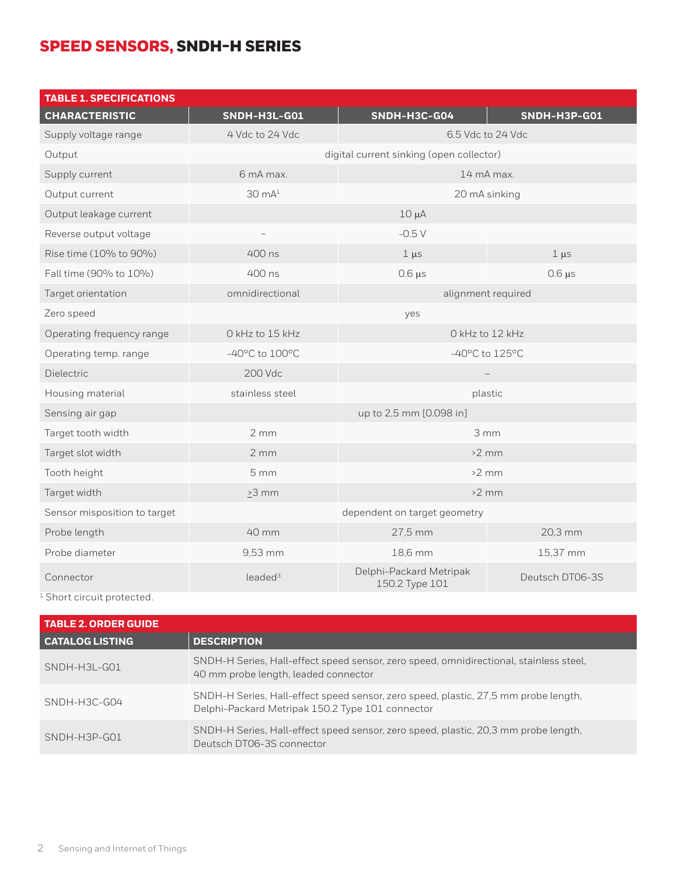# SPEED SENSORS, SNDH-H SERIES

| <b>TABLE 1. SPECIFICATIONS</b> |                                                      |                                           |                   |
|--------------------------------|------------------------------------------------------|-------------------------------------------|-------------------|
| <b>CHARACTERISTIC</b>          | <b>SNDH-H3L-G01</b>                                  | SNDH-H3C-G04                              | SNDH-H3P-G01      |
| Supply voltage range           | 4 Vdc to 24 Vdc                                      |                                           | 6.5 Vdc to 24 Vdc |
| Output                         | digital current sinking (open collector)             |                                           |                   |
| Supply current                 | 6 mA max.                                            | 14 mA max.                                |                   |
| Output current                 | $30 \text{ mA}^1$<br>20 mA sinking                   |                                           |                   |
| Output leakage current         |                                                      | $10 \mu A$                                |                   |
| Reverse output voltage         |                                                      | $-0.5V$                                   |                   |
| Rise time (10% to 90%)         | 400 ns                                               | $1 \mu s$                                 | $1 \mu s$         |
| Fall time (90% to 10%)         | 400 ns                                               | $0.6 \mu s$                               | $0.6 \,\mu s$     |
| Target orientation             | omnidirectional                                      | alignment required                        |                   |
| Zero speed                     |                                                      | yes                                       |                   |
| Operating frequency range      | O kHz to 15 kHz                                      | O kHz to 12 kHz                           |                   |
| Operating temp. range          | $-40^{\circ}$ C to $100^{\circ}$ C<br>-40°C to 125°C |                                           |                   |
| Dielectric                     | 200 Vdc                                              |                                           |                   |
| Housing material               | stainless steel<br>plastic                           |                                           |                   |
| Sensing air gap                |                                                      | up to 2,5 mm [0.098 in]                   |                   |
| Target tooth width             | 2mm<br>3mm                                           |                                           |                   |
| Target slot width              | 2mm<br>$>2$ mm                                       |                                           |                   |
| Tooth height                   | 5 <sub>mm</sub>                                      | $>2$ mm                                   |                   |
| Target width                   | $\geq$ 3 mm                                          | $>2$ mm                                   |                   |
| Sensor misposition to target   |                                                      | dependent on target geometry              |                   |
| Probe length                   | 40 mm                                                | 27,5 mm                                   | 20,3 mm           |
| Probe diameter                 | 9,53 mm                                              | 18,6 mm                                   | 15,37 mm          |
| Connector                      | leaded <sup>3</sup>                                  | Delphi-Packard Metripak<br>150.2 Type 101 | Deutsch DT06-3S   |

<sup>1</sup> Short circuit protected.

| <b>TABLE 2. ORDER GUIDE</b> |                                                                                                                                         |  |  |
|-----------------------------|-----------------------------------------------------------------------------------------------------------------------------------------|--|--|
| <b>CATALOG LISTING</b>      | <b>DESCRIPTION</b>                                                                                                                      |  |  |
| SNDH-H3L-G01                | SNDH-H Series, Hall-effect speed sensor, zero speed, omnidirectional, stainless steel,<br>40 mm probe length, leaded connector          |  |  |
| SNDH-H3C-G04                | SNDH-H Series, Hall-effect speed sensor, zero speed, plastic, 27,5 mm probe length,<br>Delphi-Packard Metripak 150.2 Type 101 connector |  |  |
| SNDH-H3P-G01                | SNDH-H Series, Hall-effect speed sensor, zero speed, plastic, 20,3 mm probe length,<br>Deutsch DT06-3S connector                        |  |  |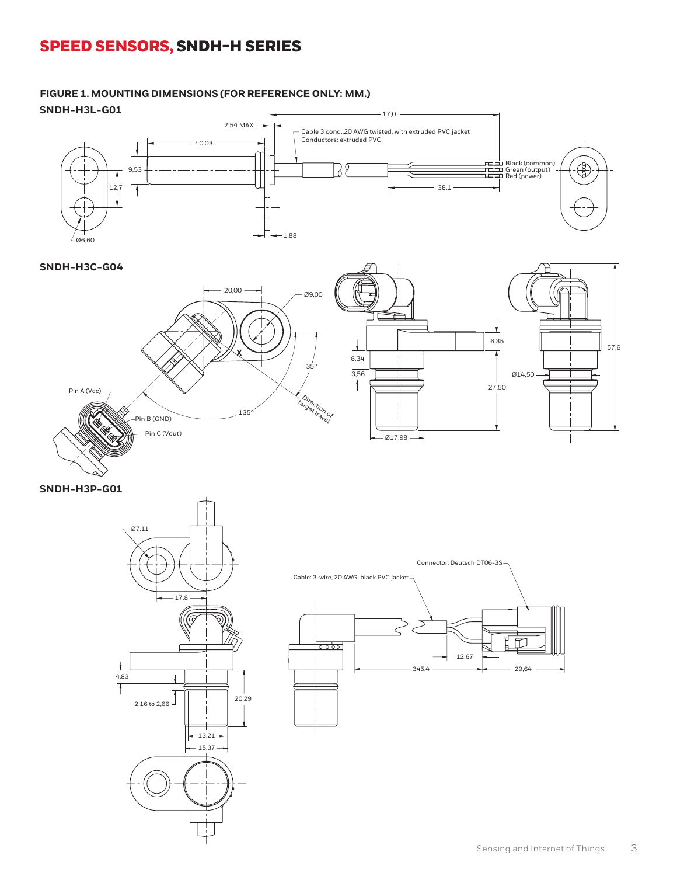# SPEED SENSORS, SNDH-H SERIES

#### **SNDH-H3L-G01** 9,53 Ø6,60  $-17,0$  -Red (power) 2,54 MAX. Cable 3 cond., 20 AWG twisted, with extruded PVC jacket Conductors: extruded PVC 40,03 38 Black (common) Green (output) Red (power) € 9,53  $\ddagger$  $\overline{\phantom{0}}$  $\searrow$  ! 12,7 38,1 ł I Ø9,00 20,00  $-1.88$ Ø6,60



**SNDH-H3P-G01**





**FIGURE 1. MOUNTING DIMENSIONS (FOR REFERENCE ONLY: MM.)**